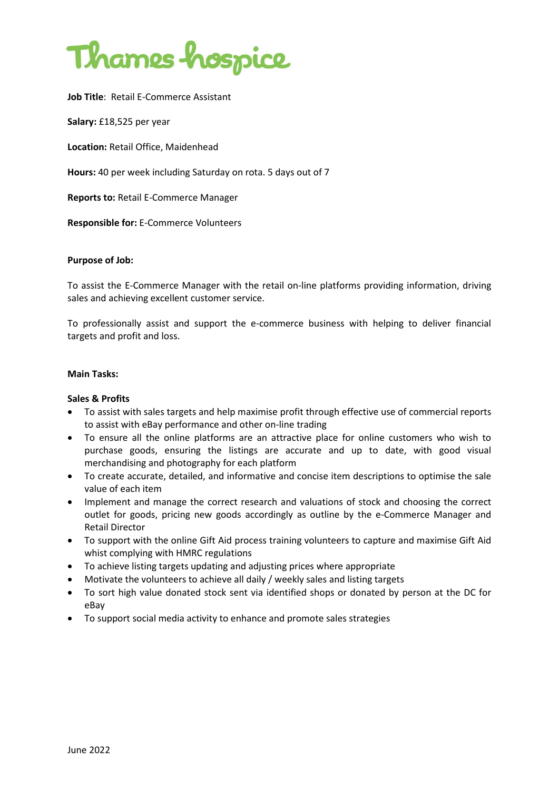

**Job Title**: Retail E-Commerce Assistant

**Salary:** £18,525 per year

**Location:** Retail Office, Maidenhead

**Hours:** 40 per week including Saturday on rota. 5 days out of 7

**Reports to:** Retail E-Commerce Manager

**Responsible for:** E-Commerce Volunteers

#### **Purpose of Job:**

To assist the E-Commerce Manager with the retail on-line platforms providing information, driving sales and achieving excellent customer service.

To professionally assist and support the e-commerce business with helping to deliver financial targets and profit and loss.

#### **Main Tasks:**

#### **Sales & Profits**

- To assist with sales targets and help maximise profit through effective use of commercial reports to assist with eBay performance and other on-line trading
- To ensure all the online platforms are an attractive place for online customers who wish to purchase goods, ensuring the listings are accurate and up to date, with good visual merchandising and photography for each platform
- To create accurate, detailed, and informative and concise item descriptions to optimise the sale value of each item
- Implement and manage the correct research and valuations of stock and choosing the correct outlet for goods, pricing new goods accordingly as outline by the e-Commerce Manager and Retail Director
- To support with the online Gift Aid process training volunteers to capture and maximise Gift Aid whist complying with HMRC regulations
- To achieve listing targets updating and adjusting prices where appropriate
- Motivate the volunteers to achieve all daily / weekly sales and listing targets
- To sort high value donated stock sent via identified shops or donated by person at the DC for eBay
- To support social media activity to enhance and promote sales strategies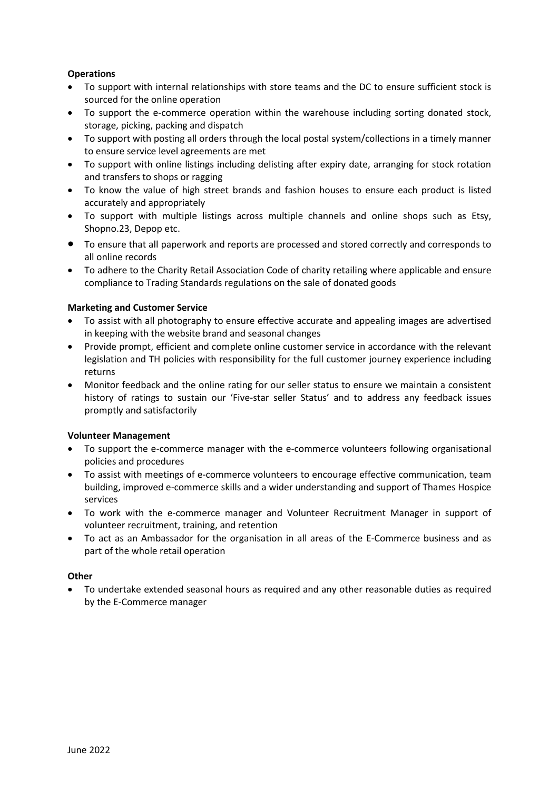# **Operations**

- To support with internal relationships with store teams and the DC to ensure sufficient stock is sourced for the online operation
- To support the e-commerce operation within the warehouse including sorting donated stock, storage, picking, packing and dispatch
- To support with posting all orders through the local postal system/collections in a timely manner to ensure service level agreements are met
- To support with online listings including delisting after expiry date, arranging for stock rotation and transfers to shops or ragging
- To know the value of high street brands and fashion houses to ensure each product is listed accurately and appropriately
- To support with multiple listings across multiple channels and online shops such as Etsy, Shopno.23, Depop etc.
- To ensure that all paperwork and reports are processed and stored correctly and corresponds to all online records
- To adhere to the Charity Retail Association Code of charity retailing where applicable and ensure compliance to Trading Standards regulations on the sale of donated goods

## **Marketing and Customer Service**

- To assist with all photography to ensure effective accurate and appealing images are advertised in keeping with the website brand and seasonal changes
- Provide prompt, efficient and complete online customer service in accordance with the relevant legislation and TH policies with responsibility for the full customer journey experience including returns
- Monitor feedback and the online rating for our seller status to ensure we maintain a consistent history of ratings to sustain our 'Five-star seller Status' and to address any feedback issues promptly and satisfactorily

# **Volunteer Management**

- To support the e-commerce manager with the e-commerce volunteers following organisational policies and procedures
- To assist with meetings of e-commerce volunteers to encourage effective communication, team building, improved e-commerce skills and a wider understanding and support of Thames Hospice services
- To work with the e-commerce manager and Volunteer Recruitment Manager in support of volunteer recruitment, training, and retention
- To act as an Ambassador for the organisation in all areas of the E-Commerce business and as part of the whole retail operation

## **Other**

• To undertake extended seasonal hours as required and any other reasonable duties as required by the E-Commerce manager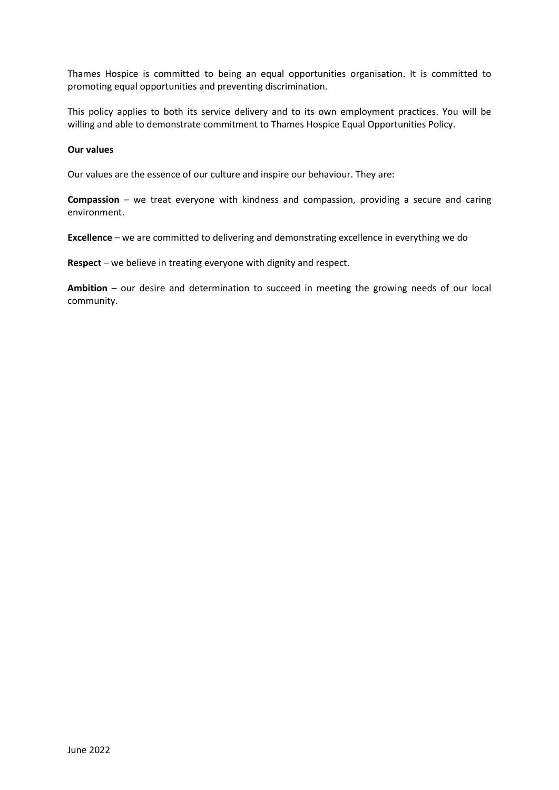Thames Hospice is committed to being an equal opportunities organisation. It is committed to promoting equal opportunities and preventing discrimination.

This policy applies to both its service delivery and to its own employment practices. You will be willing and able to demonstrate commitment to Thames Hospice Equal Opportunities Policy.

#### **Our values**

Our values are the essence of our culture and inspire our behaviour. They are:

**Compassion** – we treat everyone with kindness and compassion, providing a secure and caring environment.

**Excellence** – we are committed to delivering and demonstrating excellence in everything we do

**Respect** – we believe in treating everyone with dignity and respect.

**Ambition** – our desire and determination to succeed in meeting the growing needs of our local community.